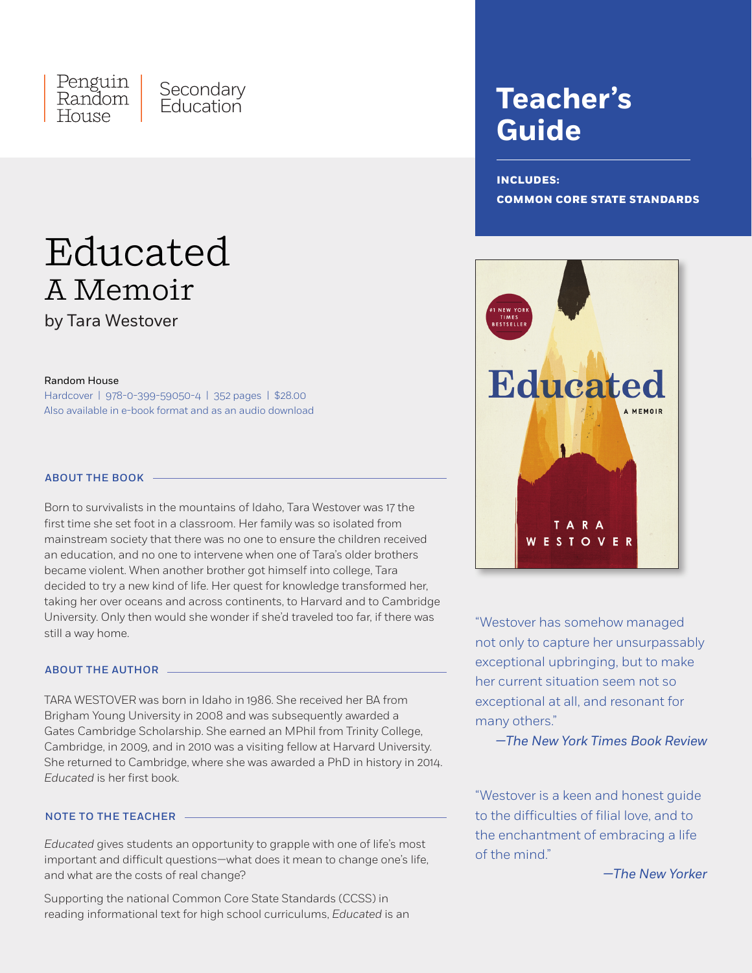

# Educated A Memoir

by Tara Westover

#### Random House

Hardcover | 978-0-399-59050-4 | 352 pages | \$28.00 Also available in e-book format and as an audio download

# ABOUT THE BOOK

Born to survivalists in the mountains of Idaho, Tara Westover was 17 the first time she set foot in a classroom. Her family was so isolated from mainstream society that there was no one to ensure the children received an education, and no one to intervene when one of Tara's older brothers became violent. When another brother got himself into college, Tara decided to try a new kind of life. Her quest for knowledge transformed her, taking her over oceans and across continents, to Harvard and to Cambridge University. Only then would she wonder if she'd traveled too far, if there was still a way home.

### ABOUT THE AUTHOR

TARA WESTOVER was born in Idaho in 1986. She received her BA from Brigham Young University in 2008 and was subsequently awarded a Gates Cambridge Scholarship. She earned an MPhil from Trinity College, Cambridge, in 2009, and in 2010 was a visiting fellow at Harvard University. She returned to Cambridge, where she was awarded a PhD in history in 2014. *Educated* is her first book.

# NOTE TO THE TEACHER

*Educated* gives students an opportunity to grapple with one of life's most important and difficult questions—what does it mean to change one's life, and what are the costs of real change?

Supporting the national Common Core State Standards (CCSS) in reading informational text for high school curriculums, *Educated* is an

# **Teacher's Guide**

# **INCLUDES: COMMON CORE STATE STANDARDS**



"Westover has somehow managed not only to capture her unsurpassably exceptional upbringing, but to make her current situation seem not so exceptional at all, and resonant for many others."

*—The New York Times Book Review*

"Westover is a keen and honest guide to the difficulties of filial love, and to the enchantment of embracing a life of the mind."

*—The New Yorker*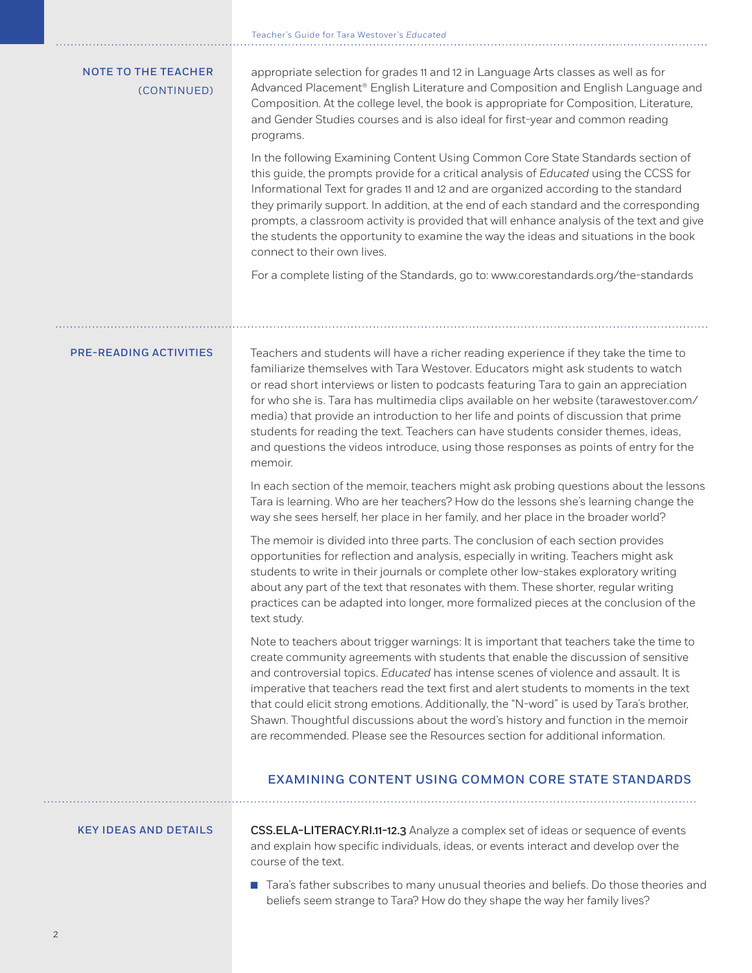|                                           | Teacher's Guide for Tara Westover's Educated                                                                                                                                                                                                                                                                                                                                                                                                                                                                                                                                                                                              |
|-------------------------------------------|-------------------------------------------------------------------------------------------------------------------------------------------------------------------------------------------------------------------------------------------------------------------------------------------------------------------------------------------------------------------------------------------------------------------------------------------------------------------------------------------------------------------------------------------------------------------------------------------------------------------------------------------|
| <b>NOTE TO THE TEACHER</b><br>(CONTINUED) | appropriate selection for grades 11 and 12 in Language Arts classes as well as for<br>Advanced Placement <sup>®</sup> English Literature and Composition and English Language and<br>Composition. At the college level, the book is appropriate for Composition, Literature,<br>and Gender Studies courses and is also ideal for first-year and common reading<br>programs.                                                                                                                                                                                                                                                               |
|                                           | In the following Examining Content Using Common Core State Standards section of<br>this guide, the prompts provide for a critical analysis of Educated using the CCSS for<br>Informational Text for grades 11 and 12 and are organized according to the standard<br>they primarily support. In addition, at the end of each standard and the corresponding<br>prompts, a classroom activity is provided that will enhance analysis of the text and give<br>the students the opportunity to examine the way the ideas and situations in the book<br>connect to their own lives.                                                            |
|                                           | For a complete listing of the Standards, go to: www.corestandards.org/the-standards                                                                                                                                                                                                                                                                                                                                                                                                                                                                                                                                                       |
| <b>PRE-READING ACTIVITIES</b>             | Teachers and students will have a richer reading experience if they take the time to<br>familiarize themselves with Tara Westover. Educators might ask students to watch<br>or read short interviews or listen to podcasts featuring Tara to gain an appreciation<br>for who she is. Tara has multimedia clips available on her website (tarawestover.com/<br>media) that provide an introduction to her life and points of discussion that prime<br>students for reading the text. Teachers can have students consider themes, ideas,<br>and questions the videos introduce, using those responses as points of entry for the<br>memoir. |
|                                           | In each section of the memoir, teachers might ask probing questions about the lessons<br>Tara is learning. Who are her teachers? How do the lessons she's learning change the<br>way she sees herself, her place in her family, and her place in the broader world?                                                                                                                                                                                                                                                                                                                                                                       |
|                                           | The memoir is divided into three parts. The conclusion of each section provides<br>opportunities for reflection and analysis, especially in writing. Teachers might ask<br>students to write in their journals or complete other low-stakes exploratory writing                                                                                                                                                                                                                                                                                                                                                                           |

might ask students to write in their journals or complete other low-stakes exploratory writing about any part of the text that resonates with them. These shorter, regular writing practices can be adapted into longer, more formalized pieces at the conclusion of the text study.

Note to teachers about trigger warnings: It is important that teachers take the time to create community agreements with students that enable the discussion of sensitive and controversial topics. *Educated* has intense scenes of violence and assault. It is imperative that teachers read the text first and alert students to moments in the text that could elicit strong emotions. Additionally, the "N-word" is used by Tara's brother, Shawn. Thoughtful discussions about the word's history and function in the memoir are recommended. Please see the Resources section for additional information.

# EXAMINING CONTENT USING COMMON CORE STATE STANDARDS

# KEY IDEAS AND DETAILS

CSS.ELA-LITERACY.RI.11-12.3 Analyze a complex set of ideas or sequence of events and explain how specific individuals, ideas, or events interact and develop over the course of the text.

■ Tara's father subscribes to many unusual theories and beliefs. Do those theories and beliefs seem strange to Tara? How do they shape the way her family lives?

 $\ldots$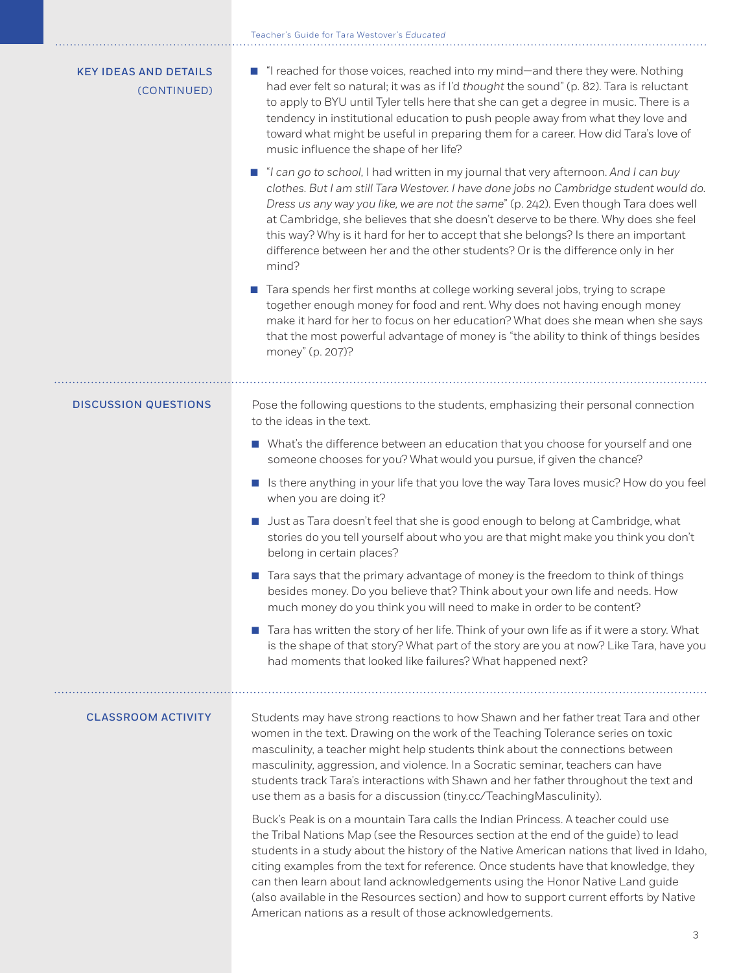# Teacher's Guide for Tara Westover's *Educated*

| <b>KEY IDEAS AND DETAILS</b><br>(CONTINUED) | ■ "I reached for those voices, reached into my mind—and there they were. Nothing<br>had ever felt so natural; it was as if I'd thought the sound" (p. 82). Tara is reluctant<br>to apply to BYU until Tyler tells here that she can get a degree in music. There is a<br>tendency in institutional education to push people away from what they love and<br>toward what might be useful in preparing them for a career. How did Tara's love of<br>music influence the shape of her life?                                                                                                         |
|---------------------------------------------|--------------------------------------------------------------------------------------------------------------------------------------------------------------------------------------------------------------------------------------------------------------------------------------------------------------------------------------------------------------------------------------------------------------------------------------------------------------------------------------------------------------------------------------------------------------------------------------------------|
|                                             | ■ "I can go to school, I had written in my journal that very afternoon. And I can buy<br>clothes. But I am still Tara Westover. I have done jobs no Cambridge student would do.<br>Dress us any way you like, we are not the same" (p. 242). Even though Tara does well<br>at Cambridge, she believes that she doesn't deserve to be there. Why does she feel<br>this way? Why is it hard for her to accept that she belongs? Is there an important<br>difference between her and the other students? Or is the difference only in her<br>mind?                                                  |
|                                             | Tara spends her first months at college working several jobs, trying to scrape<br>together enough money for food and rent. Why does not having enough money<br>make it hard for her to focus on her education? What does she mean when she says<br>that the most powerful advantage of money is "the ability to think of things besides<br>money" (p. 207)?                                                                                                                                                                                                                                      |
| <b>DISCUSSION QUESTIONS</b>                 | Pose the following questions to the students, emphasizing their personal connection<br>to the ideas in the text.                                                                                                                                                                                                                                                                                                                                                                                                                                                                                 |
|                                             | Mhat's the difference between an education that you choose for yourself and one<br>someone chooses for you? What would you pursue, if given the chance?                                                                                                                                                                                                                                                                                                                                                                                                                                          |
|                                             | In Is there anything in your life that you love the way Tara loves music? How do you feel<br>when you are doing it?                                                                                                                                                                                                                                                                                                                                                                                                                                                                              |
|                                             | Just as Tara doesn't feel that she is good enough to belong at Cambridge, what<br>stories do you tell yourself about who you are that might make you think you don't<br>belong in certain places?                                                                                                                                                                                                                                                                                                                                                                                                |
|                                             | Tara says that the primary advantage of money is the freedom to think of things<br>$\mathbb{R}^n$<br>besides money. Do you believe that? Think about your own life and needs. How<br>much money do you think you will need to make in order to be content?                                                                                                                                                                                                                                                                                                                                       |
|                                             | Tara has written the story of her life. Think of your own life as if it were a story. What<br>is the shape of that story? What part of the story are you at now? Like Tara, have you<br>had moments that looked like failures? What happened next?                                                                                                                                                                                                                                                                                                                                               |
| <b>CLASSROOM ACTIVITY</b>                   | Students may have strong reactions to how Shawn and her father treat Tara and other<br>women in the text. Drawing on the work of the Teaching Tolerance series on toxic<br>masculinity, a teacher might help students think about the connections between<br>masculinity, aggression, and violence. In a Socratic seminar, teachers can have<br>students track Tara's interactions with Shawn and her father throughout the text and<br>use them as a basis for a discussion (tiny.cc/TeachingMasculinity).                                                                                      |
|                                             | Buck's Peak is on a mountain Tara calls the Indian Princess. A teacher could use<br>the Tribal Nations Map (see the Resources section at the end of the guide) to lead<br>students in a study about the history of the Native American nations that lived in Idaho,<br>citing examples from the text for reference. Once students have that knowledge, they<br>can then learn about land acknowledgements using the Honor Native Land guide<br>(also available in the Resources section) and how to support current efforts by Native<br>American nations as a result of those acknowledgements. |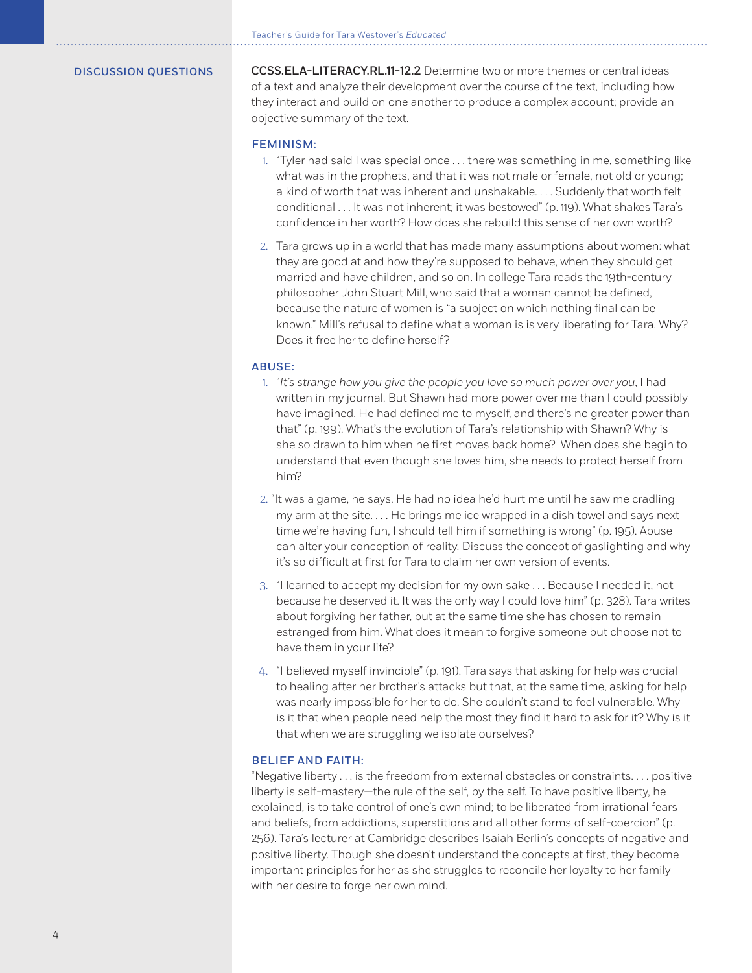DISCUSSION QUESTIONS CCSS.ELA-LITERACY.RL.11-12.2 Determine two or more themes or central ideas of a text and analyze their development over the course of the text, including how they interact and build on one another to produce a complex account; provide an objective summary of the text.

# FEMINISM:

- 1. "Tyler had said I was special once . . . there was something in me, something like what was in the prophets, and that it was not male or female, not old or young; a kind of worth that was inherent and unshakable. . . . Suddenly that worth felt conditional . . . It was not inherent; it was bestowed" (p. 119). What shakes Tara's confidence in her worth? How does she rebuild this sense of her own worth?
- 2. Tara grows up in a world that has made many assumptions about women: what they are good at and how they're supposed to behave, when they should get married and have children, and so on. In college Tara reads the 19th-century philosopher John Stuart Mill, who said that a woman cannot be defined, because the nature of women is "a subject on which nothing final can be known." Mill's refusal to define what a woman is is very liberating for Tara. Why? Does it free her to define herself?

#### ABUSE:

- 1. "*It's strange how you give the people you love so much power over you*, I had written in my journal. But Shawn had more power over me than I could possibly have imagined. He had defined me to myself, and there's no greater power than that" (p. 199). What's the evolution of Tara's relationship with Shawn? Why is she so drawn to him when he first moves back home? When does she begin to understand that even though she loves him, she needs to protect herself from him?
- 2. "It was a game, he says. He had no idea he'd hurt me until he saw me cradling my arm at the site. . . . He brings me ice wrapped in a dish towel and says next time we're having fun, I should tell him if something is wrong" (p. 195). Abuse can alter your conception of reality. Discuss the concept of gaslighting and why it's so difficult at first for Tara to claim her own version of events.
- 3. "I learned to accept my decision for my own sake . . . Because I needed it, not because he deserved it. It was the only way I could love him" (p. 328). Tara writes about forgiving her father, but at the same time she has chosen to remain estranged from him. What does it mean to forgive someone but choose not to have them in your life?
- 4. "I believed myself invincible" (p. 191). Tara says that asking for help was crucial to healing after her brother's attacks but that, at the same time, asking for help was nearly impossible for her to do. She couldn't stand to feel vulnerable. Why is it that when people need help the most they find it hard to ask for it? Why is it that when we are struggling we isolate ourselves?

### BELIEF AND FAITH:

"Negative liberty . . . is the freedom from external obstacles or constraints. . . . positive liberty is self-mastery—the rule of the self, by the self. To have positive liberty, he explained, is to take control of one's own mind; to be liberated from irrational fears and beliefs, from addictions, superstitions and all other forms of self-coercion" (p. 256). Tara's lecturer at Cambridge describes Isaiah Berlin's concepts of negative and positive liberty. Though she doesn't understand the concepts at first, they become important principles for her as she struggles to reconcile her loyalty to her family with her desire to forge her own mind.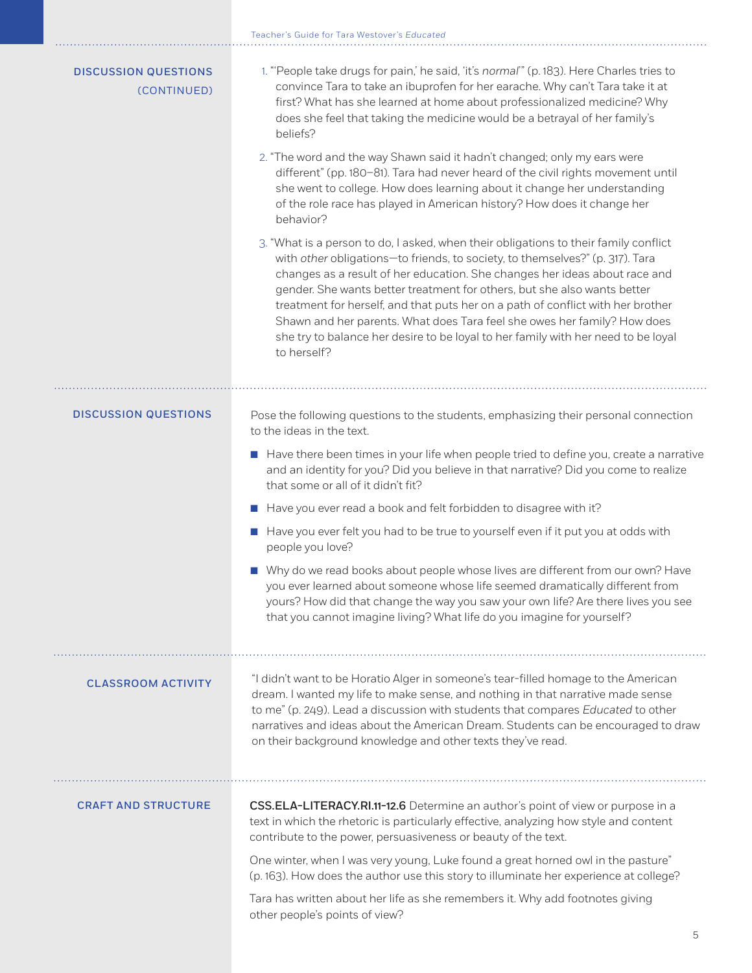| <b>DISCUSSION QUESTIONS</b><br>(CONTINUED) | 1. "People take drugs for pain,' he said, 'it's normal" (p. 183). Here Charles tries to<br>convince Tara to take an ibuprofen for her earache. Why can't Tara take it at<br>first? What has she learned at home about professionalized medicine? Why<br>does she feel that taking the medicine would be a betrayal of her family's<br>beliefs?<br>2. "The word and the way Shawn said it hadn't changed; only my ears were<br>different" (pp. 180-81). Tara had never heard of the civil rights movement until<br>she went to college. How does learning about it change her understanding<br>of the role race has played in American history? How does it change her<br>behavior?                                                                                                                                                                       |
|--------------------------------------------|----------------------------------------------------------------------------------------------------------------------------------------------------------------------------------------------------------------------------------------------------------------------------------------------------------------------------------------------------------------------------------------------------------------------------------------------------------------------------------------------------------------------------------------------------------------------------------------------------------------------------------------------------------------------------------------------------------------------------------------------------------------------------------------------------------------------------------------------------------|
|                                            | 3. "What is a person to do, I asked, when their obligations to their family conflict<br>with other obligations-to friends, to society, to themselves?" (p. 317). Tara<br>changes as a result of her education. She changes her ideas about race and<br>gender. She wants better treatment for others, but she also wants better<br>treatment for herself, and that puts her on a path of conflict with her brother<br>Shawn and her parents. What does Tara feel she owes her family? How does<br>she try to balance her desire to be loyal to her family with her need to be loyal<br>to herself?                                                                                                                                                                                                                                                       |
| <b>DISCUSSION QUESTIONS</b>                | Pose the following questions to the students, emphasizing their personal connection<br>to the ideas in the text.<br>Have there been times in your life when people tried to define you, create a narrative<br>and an identity for you? Did you believe in that narrative? Did you come to realize<br>that some or all of it didn't fit?<br>Have you ever read a book and felt forbidden to disagree with it?<br>Have you ever felt you had to be true to yourself even if it put you at odds with<br>people you love?<br>■ Why do we read books about people whose lives are different from our own? Have<br>you ever learned about someone whose life seemed dramatically different from<br>yours? How did that change the way you saw your own life? Are there lives you see<br>that you cannot imagine living? What life do you imagine for yourself? |
| <b>CLASSROOM ACTIVITY</b>                  | "I didn't want to be Horatio Alger in someone's tear-filled homage to the American<br>dream. I wanted my life to make sense, and nothing in that narrative made sense<br>to me" (p. 249). Lead a discussion with students that compares Educated to other<br>narratives and ideas about the American Dream. Students can be encouraged to draw<br>on their background knowledge and other texts they've read.                                                                                                                                                                                                                                                                                                                                                                                                                                            |
| <b>CRAFT AND STRUCTURE</b>                 | CSS.ELA-LITERACY.RI.11-12.6 Determine an author's point of view or purpose in a<br>text in which the rhetoric is particularly effective, analyzing how style and content<br>contribute to the power, persuasiveness or beauty of the text.<br>One winter, when I was very young, Luke found a great horned owl in the pasture"<br>(p. 163). How does the author use this story to illuminate her experience at college?<br>Tara has written about her life as she remembers it. Why add footnotes giving<br>other people's points of view?                                                                                                                                                                                                                                                                                                               |

Teacher's Guide for Tara Westover's *Educated*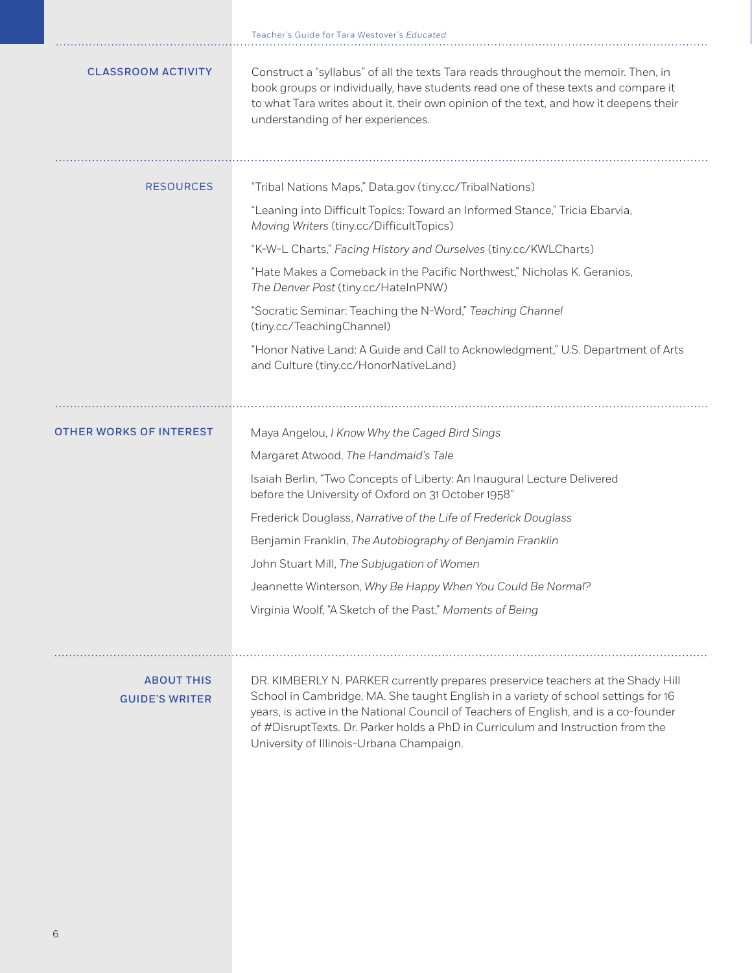|                                            | Teacher's Guide for Tara Westover's <i>Educated</i>                                                                                                                                                                                                                                                                                                                                          |
|--------------------------------------------|----------------------------------------------------------------------------------------------------------------------------------------------------------------------------------------------------------------------------------------------------------------------------------------------------------------------------------------------------------------------------------------------|
| <b>CLASSROOM ACTIVITY</b>                  | Construct a "syllabus" of all the texts Tara reads throughout the memoir. Then, in<br>book groups or individually, have students read one of these texts and compare it<br>to what Tara writes about it, their own opinion of the text, and how it deepens their<br>understanding of her experiences.                                                                                        |
| <b>RESOURCES</b>                           | "Tribal Nations Maps," Data.gov (tiny.cc/TribalNations)                                                                                                                                                                                                                                                                                                                                      |
|                                            | "Leaning into Difficult Topics: Toward an Informed Stance," Tricia Ebarvia,<br>Moving Writers (tiny.cc/DifficultTopics)                                                                                                                                                                                                                                                                      |
|                                            | "K-W-L Charts," Facing History and Ourselves (tiny.cc/KWLCharts)                                                                                                                                                                                                                                                                                                                             |
|                                            | "Hate Makes a Comeback in the Pacific Northwest," Nicholas K. Geranios,<br>The Denver Post (tiny.cc/HateInPNW)                                                                                                                                                                                                                                                                               |
|                                            | "Socratic Seminar: Teaching the N-Word," Teaching Channel<br>(tiny.cc/TeachingChannel)                                                                                                                                                                                                                                                                                                       |
|                                            | "Honor Native Land: A Guide and Call to Acknowledgment," U.S. Department of Arts<br>and Culture (tiny.cc/HonorNativeLand)                                                                                                                                                                                                                                                                    |
| <b>OTHER WORKS OF INTEREST</b>             | Maya Angelou, I Know Why the Caged Bird Sings                                                                                                                                                                                                                                                                                                                                                |
|                                            | Margaret Atwood, The Handmaid's Tale                                                                                                                                                                                                                                                                                                                                                         |
|                                            | Isaiah Berlin, "Two Concepts of Liberty: An Inaugural Lecture Delivered<br>before the University of Oxford on 31 October 1958"                                                                                                                                                                                                                                                               |
|                                            | Frederick Douglass, Narrative of the Life of Frederick Douglass                                                                                                                                                                                                                                                                                                                              |
|                                            | Benjamin Franklin, The Autobiography of Benjamin Franklin                                                                                                                                                                                                                                                                                                                                    |
|                                            | John Stuart Mill, The Subjugation of Women                                                                                                                                                                                                                                                                                                                                                   |
|                                            | Jeannette Winterson, Why Be Happy When You Could Be Normal?                                                                                                                                                                                                                                                                                                                                  |
|                                            | Virginia Woolf, "A Sketch of the Past," Moments of Being                                                                                                                                                                                                                                                                                                                                     |
| <b>ABOUT THIS</b><br><b>GUIDE'S WRITER</b> | DR. KIMBERLY N. PARKER currently prepares preservice teachers at the Shady Hill<br>School in Cambridge, MA. She taught English in a variety of school settings for 16<br>years, is active in the National Council of Teachers of English, and is a co-founder<br>of #DisruptTexts. Dr. Parker holds a PhD in Curriculum and Instruction from the<br>University of Illinois-Urbana Champaign. |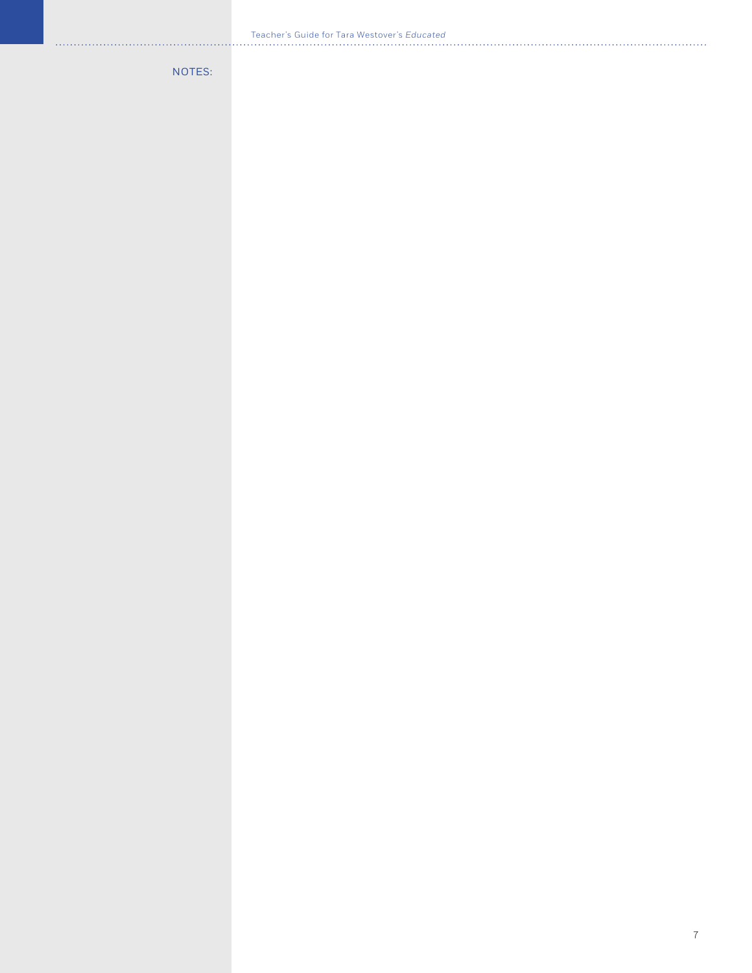NOTES: